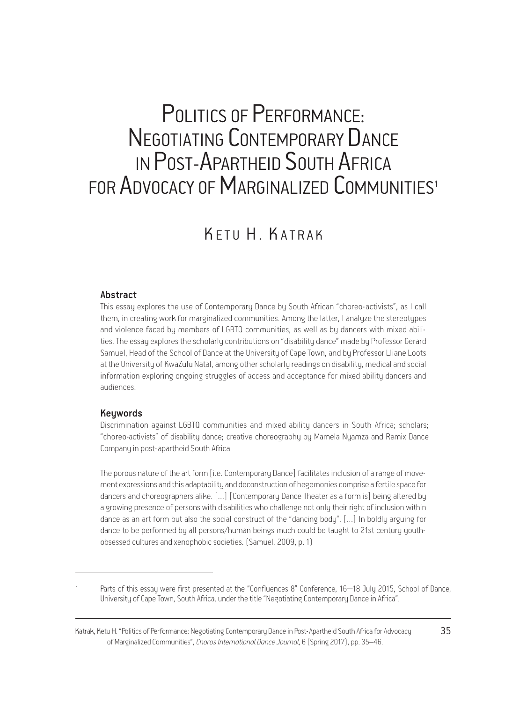# POLITICS OF PERFORMANCE: NEGOTIATING CONTEMPORARY DANCE IN POST-APARTHEID SOUTH AFRICA FOR ADVOCACY OF MARGINALIZED COMMUNITIES<sup>1</sup>

# K F TU H . KATRAK

#### Abstract

This essay explores the use of Contemporary Dance by South African "choreo-activists", as I call them, in creating work for marginalized communities. Among the latter, I analyze the stereotypes and violence faced by members of LGBTQ communities, as well as by dancers with mixed abilities. The essay explores the scholarly contributions on "disability dance" made by Professor Gerard Samuel, Head of the School of Dance at the University of Cape Town, and by Professor Lliane Loots at the University of KwaZulu Natal, among other scholarly readings on disability, medical and social information exploring ongoing struggles of access and acceptance for mixed ability dancers and audiences.

#### Keywords

Discrimination against LGBTQ communities and mixed ability dancers in South Africa; scholars; "choreo-activists" of disability dance; creative choreography by Mamela Nyamza and Remix Dance Company in post-apartheid South Africa

The porous nature of the art form [i.e. Contemporary Dance] facilitates inclusion of a range of movement expressions and this adaptability and deconstruction of hegemonies comprise a fertile space for dancers and choreographers alike. […] [Contemporary Dance Theater as a form is] being altered by a growing presence of persons with disabilities who challenge not only their right of inclusion within dance as an art form but also the social construct of the "dancing body". […] In boldly arguing for dance to be performed by all persons/human beings much could be taught to 21st century youthobsessed cultures and xenophobic societies. (Samuel, 2009, p. 1)

Parts of this essay were first presented at the "Confluences 8" Conference, 16–18 July 2015, School of Dance, University of Cape Town, South Africa, under the title "Negotiating Contemporary Dance in Africa".

Κatrak, Κetu Η. "Politics of Performance: Negotiating Contemporary Dance in Post-Apartheid South Africa for Advocacy 35 of Marginalized Communities", *Choros International Dance Journal*, 6 (Spring 2017), pp. 35–46.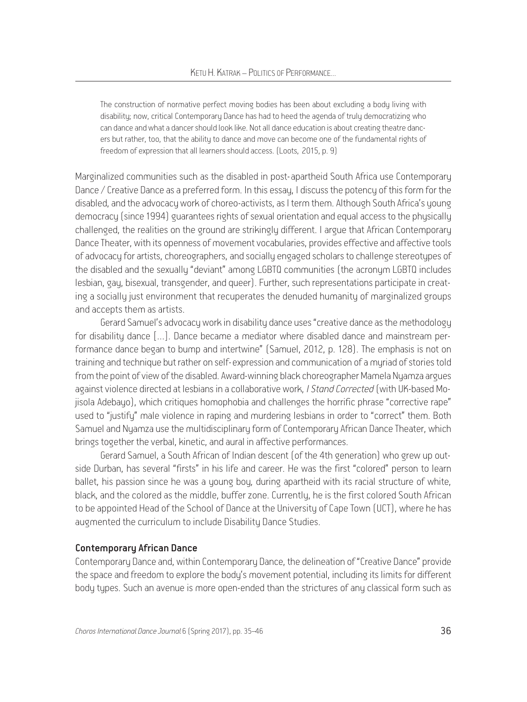The construction of normative perfect moving bodies has been about excluding a body living with disability; now, critical Contemporary Dance has had to heed the agenda of truly democratizing who can dance and what a dancer should look like. Not all dance education is about creating theatre dancers but rather, too, that the ability to dance and move can become one of the fundamental rights of freedom of expression that all learners should access. (Loots, 2015, p. 9)

Marginalized communities such as the disabled in post-apartheid South Africa use Contemporary Dance / Creative Dance as a preferred form. In this essay, I discuss the potency of this form for the disabled, and the advocacy work of choreo-activists, as I term them. Although South Africa's young democracy (since 1994) guarantees rights of sexual orientation and equal access to the physically challenged, the realities on the ground are strikingly different. I argue that African Contemporary Dance Theater, with its openness of movement vocabularies, provides effective and affective tools of advocacy for artists, choreographers, and socially engaged scholars to challenge stereotypes of the disabled and the sexually "deviant" among LGBTQ communities (the acronym LGBTQ includes lesbian, gay, bisexual, transgender, and queer). Further, such representations participate in creating a socially just environment that recuperates the denuded humanity of marginalized groups and accepts them as artists.

Gerard Samuel's advocacy work in disability dance uses "creative dance as the methodology for disability dance […]. Dance became a mediator where disabled dance and mainstream performance dance began to bump and intertwine" (Samuel, 2012, p. 128). The emphasis is not on training and technique but rather on self-expression and communication of a myriad of stories told from the point of view of the disabled. Award-winning black choreographer Mamela Nyamza argues against violence directed at lesbians in a collaborative work, *I Stand Corrected* (with UK-based Mojisola Adebayo), which critiques homophobia and challenges the horrific phrase "corrective rape" used to "justify" male violence in raping and murdering lesbians in order to "correct" them. Both Samuel and Nyamza use the multidisciplinary form of Contemporary African Dance Theater, which brings together the verbal, kinetic, and aural in affective performances.

Gerard Samuel, a South African of Indian descent (of the 4th generation) who grew up outside Durban, has several "firsts" in his life and career. He was the first "colored" person to learn ballet, his passion since he was a young boy, during apartheid with its racial structure of white, black, and the colored as the middle, buffer zone. Currently, he is the first colored South African to be appointed Head of the School of Dance at the University of Cape Town (UCT), where he has augmented the curriculum to include Disability Dance Studies.

#### Contemporary African Dance

Contemporary Dance and, within Contemporary Dance, the delineation of "Creative Dance" provide the space and freedom to explore the body's movement potential, including its limits for different body types. Such an avenue is more open-ended than the strictures of any classical form such as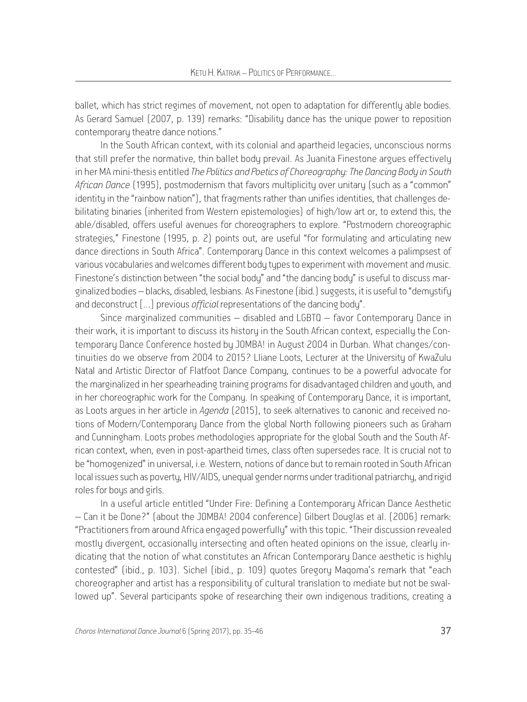ballet, which has strict regimes of movement, not open to adaptation for differently able bodies. As Gerard Samuel (2007, p. 139) remarks: "Disability dance has the unique power to reposition contemporary theatre dance notions."

In the South African context, with its colonial and apartheid legacies, unconscious norms that still prefer the normative, thin ballet body prevail. As Juanita Finestone argues effectively in her MA mini-thesis entitled *The Politics and Poetics of Choreography: The Dancing Body in South African Dance* (1995), postmodernism that favors multiplicity over unitary (such as a "common" identity in the "rainbow nation"), that fragments rather than unifies identities, that challenges debilitating binaries (inherited from Western epistemologies) of high/low art or, to extend this, the able/disabled, offers useful avenues for choreographers to explore. "Postmodern choreographic strategies," Finestone (1995, p. 2) points out, are useful "for formulating and articulating new dance directions in South Africa". Contemporary Dance in this context welcomes a palimpsest of various vocabularies and welcomes different body types to experiment with movement and music. Finestone's distinction between "the social body" and "the dancing body" is useful to discuss marginalized bodies – blacks, disabled, lesbians. As Finestone (ibid.) suggests, it is useful to "demystify and deconstruct […] previous *official* representations of the dancing body".

Since marginalized communities – disabled and LGBTQ – favor Contemporary Dance in their work, it is important to discuss its history in the South African context, especially the Contemporary Dance Conference hosted by JOMBA! in August 2004 in Durban. What changes/continuities do we observe from 2004 to 2015? Lliane Loots, Lecturer at the University of KwaZulu Natal and Artistic Director of Flatfoot Dance Company, continues to be a powerful advocate for the marginalized in her spearheading training programs for disadvantaged children and youth, and in her choreographic work for the Company. In speaking of Contemporary Dance, it is important, as Loots argues in her article in *Agenda* (2015), to seek alternatives to canonic and received notions of Modern/Contemporary Dance from the global North following pioneers such as Graham and Cunningham. Loots probes methodologies appropriate for the global South and the South African context, when, even in post-apartheid times, class often supersedes race. It is crucial not to be "homogenized" in universal, i.e. Western, notions of dance but to remain rooted in South African local issues such as poverty, HIV/AIDS, unequal gender norms under traditional patriarchy, and rigid roles for boys and girls.

In a useful article entitled "Under Fire: Defining a Contemporary African Dance Aesthetic – Can it be Done?" (about the JOMBA! 2004 conference) Gilbert Douglas et al. (2006) remark: "Practitioners from around Africa engaged powerfully" with this topic. "Their discussion revealed mostly divergent, occasionally intersecting and often heated opinions on the issue, clearly indicating that the notion of what constitutes an African Contemporary Dance aesthetic is highly contested" (ibid., p. 103). Sichel (ibid., p. 109) quotes Gregory Maqoma's remark that "each choreographer and artist has a responsibility of cultural translation to mediate but not be swallowed up". Several participants spoke of researching their own indigenous traditions, creating a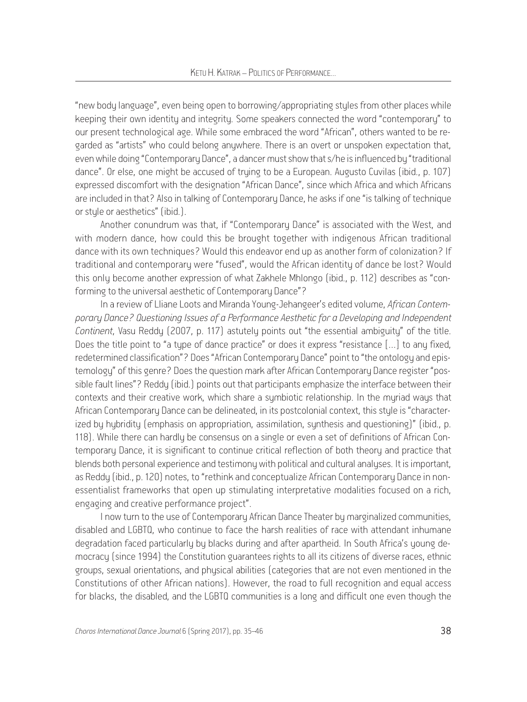"new body language", even being open to borrowing/appropriating styles from other places while keeping their own identity and integrity. Some speakers connected the word "contemporary" to our present technological age. While some embraced the word "African", others wanted to be regarded as "artists" who could belong anywhere. There is an overt or unspoken expectation that, even while doing "Contemporary Dance", a dancer must show that s/he is influenced by "traditional dance". Or else, one might be accused of truing to be a European. Augusto Cuvilas (ibid., p. 107) expressed discomfort with the designation "African Dance", since which Africa and which Africans are included in that? Also in talking of Contemporary Dance, he asks if one "is talking of technique or stule or aesthetics" (ibid.).

Another conundrum was that, if "Contemporary Dance" is associated with the West, and with modern dance, how could this be brought together with indigenous African traditional dance with its own techniques? Would this endeavor end up as another form of colonization? If traditional and contemporary were "fused", would the African identity of dance be lost? Would this only become another expression of what Zakhele Mhlongo (ibid., p. 112) describes as "conforming to the universal aesthetic of Contemporary Dance"?

In a review of Lliane Loots and Miranda Young-Jehangeer's edited volume, *African Contemporary Dance? Questioning Issues of a Performance Aesthetic for a Developing and Independent Continent*, Vasu Reddy (2007, p. 117) astutely points out "the essential ambiguity" of the title. Does the title point to "a type of dance practice" or does it express "resistance […] to any fixed, redetermined classification"? Does "African Contemporary Dance" point to "the ontology and epistemology" of this genre? Does the question mark after African Contemporary Dance register "possible fault lines"? Reddy (ibid.) points out that participants emphasize the interface between their contexts and their creative work, which share a symbiotic relationship. In the myriad ways that African Contemporary Dance can be delineated, in its postcolonial context, this style is "characterized by hybridity (emphasis on appropriation, assimilation, synthesis and questioning)" (ibid., p. 118). While there can hardly be consensus on a single or even a set of definitions of African Contemporary Dance, it is significant to continue critical reflection of both theory and practice that blends both personal experience and testimony with political and cultural analyses. It is important, as Reddy (ibid., p. 120) notes, to "rethink and conceptualize African Contemporary Dance in nonessentialist frameworks that open up stimulating interpretative modalities focused on a rich, engaging and creative performance project".

I now turn to the use of Contemporary African Dance Theater by marginalized communities, disabled and LGBTQ, who continue to face the harsh realities of race with attendant inhumane degradation faced particularly by blacks during and after apartheid. In South Africa's young democracy (since 1994) the Constitution guarantees rights to all its citizens of diverse races, ethnic groups, sexual orientations, and physical abilities (categories that are not even mentioned in the Constitutions of other African nations). However, the road to full recognition and equal access for blacks, the disabled, and the LGBTQ communities is a long and difficult one even though the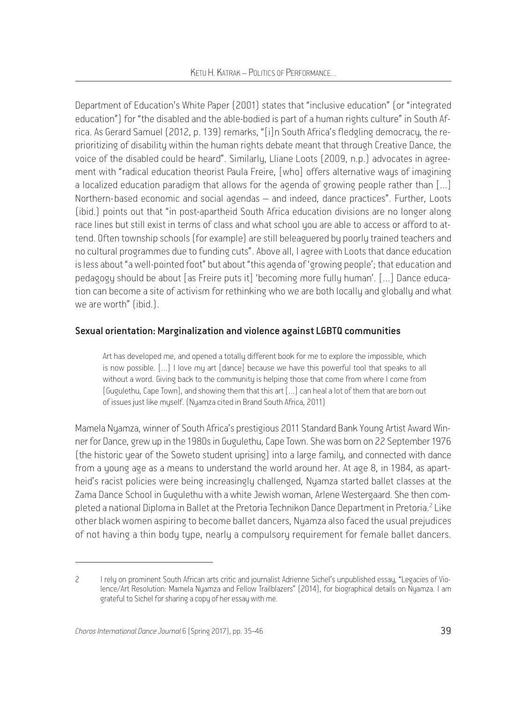Department of Education's White Paper (2001) states that "inclusive education" (or "integrated education") for "the disabled and the able-bodied is part of a human rights culture" in South Africa. As Gerard Samuel (2012, p. 139) remarks, "[i]n South Africa's fledgling democracy, the reprioritizing of disability within the human rights debate meant that through Creative Dance, the voice of the disabled could be heard". Similarly, Lliane Loots (2009, n.p.) advocates in agreement with "radical education theorist Paula Freire, [who] offers alternative waus of imagining a localized education paradigm that allows for the agenda of growing people rather than […] Northern-based economic and social agendas – and indeed, dance practices". Further, Loots (ibid.) points out that "in post-apartheid South Africa education divisions are no longer along race lines but still exist in terms of class and what school you are able to access or afford to attend. Often township schools (for example) are still beleaguered by poorly trained teachers and no cultural programmes due to funding cuts". Above all, I agree with Loots that dance education is less about "a well-pointed foot" but about "this agenda of 'growing people'; that education and pedagogy should be about [as Freire puts it] 'becoming more fully human'. […] Dance education can become a site of activism for rethinking who we are both locally and globally and what we are worth" (ibid.).

## Sexual orientation: Marginalization and violence against LGBTQ communities

Art has developed me, and opened a totally different book for me to explore the impossible, which is now possible. […] I love my art [dance] because we have this powerful tool that speaks to all without a word. Giving back to the community is helping those that come from where I come from [Gugulethu, Cape Town], and showing them that this art […] can heal a lot of them that are born out of issues just like myself. (Nyamza cited in Brand South Africa, 2011)

Mamela Nyamza, winner of South Africa's prestigious 2011 Standard Bank Young Artist Award Winner for Dance, grew up in the 1980s in Gugulethu, Cape Town. She was born on 22 September 1976 (the historic year of the Soweto student uprising) into a large family, and connected with dance from a young age as a means to understand the world around her. At age 8, in 1984, as apartheid's racist policies were being increasingly challenged, Nyamza started ballet classes at the Zama Dance School in Gugulethu with a white Jewish woman, Arlene Westergaard. She then completed a national Diploma in Ballet at the Pretoria Technikon Dance Department in Pretoria.<sup>2</sup> Like other black women aspiring to become ballet dancers, Nyamza also faced the usual prejudices of not having a thin body type, nearly a compulsory requirement for female ballet dancers.

<sup>2</sup> I rely on prominent South African arts critic and journalist Adrienne Sichel's unpublished essay, "Legacies of Violence/Art Resolution: Mamela Nyamza and Fellow Trailblazers" (2014), for biographical details on Nyamza. I am grateful to Sichel for sharing a copy of her essay with me.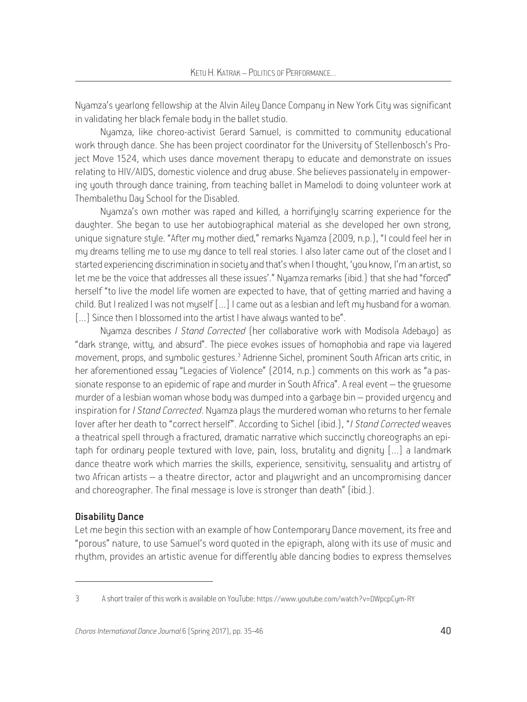Nyamza's yearlong fellowship at the Alvin Ailey Dance Company in New York City was significant in validating her black female body in the ballet studio.

Nyamza, like choreo-activist Gerard Samuel, is committed to community educational work through dance. She has been project coordinator for the University of Stellenbosch's Project Move 1524, which uses dance movement therapy to educate and demonstrate on issues relating to HIV/AIDS, domestic violence and drug abuse. She believes passionately in empowering youth through dance training, from teaching ballet in Mamelodi to doing volunteer work at Thembalethu Day School for the Disabled.

Nuamza's own mother was raped and killed, a horrifuingly scarring experience for the daughter. She began to use her autobiographical material as she developed her own strong, unique signature style. "After my mother died," remarks Nyamza (2009, n.p.), "I could feel her in my dreams telling me to use my dance to tell real stories. I also later came out of the closet and I started experiencing discrimination in society and that's when I thought, 'you know, I'm an artist, so let me be the voice that addresses all these issues'." Nyamza remarks (ibid.) that she had "forced" herself "to live the model life women are expected to have, that of getting married and having a child. But I realized I was not myself […] I came out as a lesbian and left my husband for a woman. [...] Since then I blossomed into the artist I have always wanted to be".

Nyamza describes *I Stand Corrected* (her collaborative work with Modisola Adebayo) as "dark strange, witty, and absurd". The piece evokes issues of homophobia and rape via layered movement, props, and symbolic gestures.<sup>3</sup> Adrienne Sichel, prominent South African arts critic, in her aforementioned essay "Legacies of Violence" (2014, n.p.) comments on this work as "a passionate response to an epidemic of rape and murder in South Africa". A real event – the gruesome murder of a lesbian woman whose body was dumped into a garbage bin – provided urgency and inspiration for *I Stand Corrected*. Nyamza plays the murdered woman who returns to her female lover after her death to "correct herself". According to Sichel (ibid.), "*I Stand Corrected* weaves a theatrical spell through a fractured, dramatic narrative which succinctly choreographs an epitaph for ordinary people textured with love, pain, loss, brutality and dignity […] a landmark dance theatre work which marries the skills, experience, sensitivity, sensuality and artistry of two African artists – a theatre director, actor and playwright and an uncompromising dancer and choreographer. The final message is love is stronger than death" (ibid.).

### Disability Dance

Let me begin this section with an example of how Contemporary Dance movement, its free and "porous" nature, to use Samuel's word quoted in the epigraph, along with its use of music and rhythm, provides an artistic avenue for differently able dancing bodies to express themselves

<sup>3</sup> A short trailer of this work is available on YouTube: https://www.youtube.com/watch?v=DWpcpCym-RY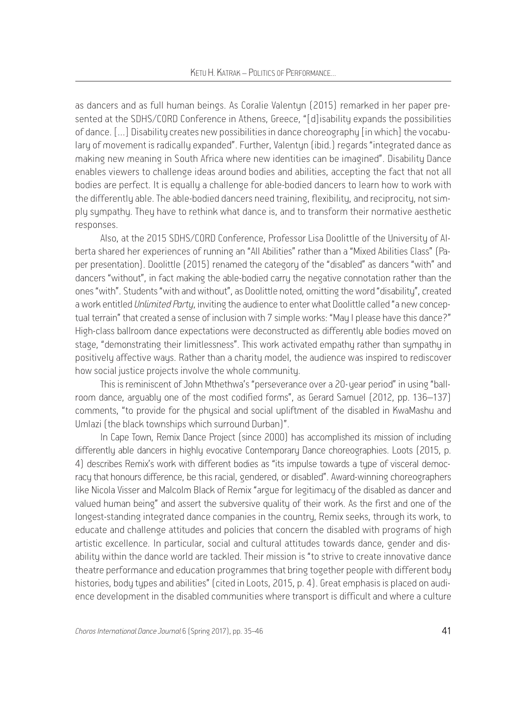as dancers and as full human beings. As Coralie Valentun (2015) remarked in her paper presented at the SDHS/CORD Conference in Athens, Greece, "[d]isability expands the possibilities of dance. […] Disability creates new possibilities in dance choreography [in which] the vocabulary of movement is radically expanded". Further, Valentyn (ibid.) regards "integrated dance as making new meaning in South Africa where new identities can be imagined". Disability Dance enables viewers to challenge ideas around bodies and abilities, accepting the fact that not all bodies are perfect. It is equally a challenge for able-bodied dancers to learn how to work with the differently able. The able-bodied dancers need training, flexibility, and reciprocity, not simply sympathy. They have to rethink what dance is, and to transform their normative aesthetic responses.

Also, at the 2015 SDHS/CORD Conference, Professor Lisa Doolittle of the University of Alberta shared her experiences of running an "All Abilities" rather than a "Mixed Abilities Class" (Paper presentation). Doolittle (2015) renamed the category of the "disabled" as dancers "with" and dancers "without", in fact making the able-bodied carry the negative connotation rather than the ones "with". Students "with and without", as Doolittle noted, omitting the word "disability", created a work entitled *Unlimited Party*, inviting the audience to enter what Doolittle called "a new conceptual terrain" that created a sense of inclusion with 7 simple works: "May I please have this dance?" High-class ballroom dance expectations were deconstructed as differently able bodies moved on stage, "demonstrating their limitlessness". This work activated empathy rather than sympathy in positively affective ways. Rather than a charity model, the audience was inspired to rediscover how social justice projects involve the whole community.

This is reminiscent of John Mthethwa's "perseverance over a 20-year period" in using "ballroom dance, arguably one of the most codified forms", as Gerard Samuel (2012, pp. 136–137) comments, "to provide for the physical and social upliftment of the disabled in KwaMashu and Umlazi (the black townships which surround Durban)".

In Cape Town, Remix Dance Project (since 2000) has accomplished its mission of including differently able dancers in highly evocative Contemporary Dance choreographies. Loots (2015, p. 4) describes Remix's work with different bodies as "its impulse towards a type of visceral democracy that honours difference, be this racial, gendered, or disabled". Award-winning choreographers like Nicola Visser and Malcolm Black of Remix "argue for legitimacy of the disabled as dancer and valued human being" and assert the subversive quality of their work. As the first and one of the longest-standing integrated dance companies in the country, Remix seeks, through its work, to educate and challenge attitudes and policies that concern the disabled with programs of high artistic excellence. In particular, social and cultural attitudes towards dance, gender and disability within the dance world are tackled. Their mission is "to strive to create innovative dance theatre performance and education programmes that bring together people with different body histories, body types and abilities" (cited in Loots, 2015, p. 4). Great emphasis is placed on audience development in the disabled communities where transport is difficult and where a culture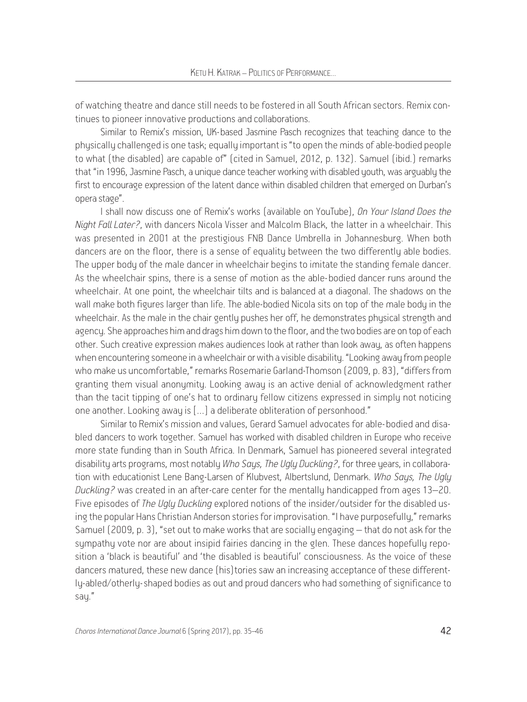of watching theatre and dance still needs to be fostered in all South African sectors. Remix continues to pioneer innovative productions and collaborations.

Similar to Remix's mission, UK-based Jasmine Pasch recognizes that teaching dance to the physically challenged is one task; equally important is "to open the minds of able-bodied people to what (the disabled) are capable of" (cited in Samuel, 2012, p. 132). Samuel (ibid.) remarks that "in 1996, Jasmine Pasch, a unique dance teacher working with disabled youth, was arguably the first to encourage expression of the latent dance within disabled children that emerged on Durban's opera stage".

I shall now discuss one of Remix's works (available on YouTube), *On Your Island Does the Night Fall Later?*, with dancers Nicola Visser and Malcolm Black, the latter in a wheelchair. This was presented in 2001 at the prestigious FNB Dance Umbrella in Johannesburg. When both dancers are on the floor, there is a sense of equality between the two differently able bodies. The upper body of the male dancer in wheelchair begins to imitate the standing female dancer. As the wheelchair spins, there is a sense of motion as the able-bodied dancer runs around the wheelchair. At one point, the wheelchair tilts and is balanced at a diagonal. The shadows on the wall make both figures larger than life. The able-bodied Nicola sits on top of the male body in the wheelchair. As the male in the chair gently pushes her off, he demonstrates physical strength and agency. She approaches him and drags him down to the floor, and the two bodies are on top of each other. Such creative expression makes audiences look at rather than look away, as often happens when encountering someone in a wheelchair or with a visible disability. "Looking away from people who make us uncomfortable," remarks Rosemarie Garland-Thomson (2009, p. 83), "differs from granting them visual anonymity. Looking away is an active denial of acknowledgment rather than the tacit tipping of one's hat to ordinary fellow citizens expressed in simply not noticing one another. Looking away is […] a deliberate obliteration of personhood."

Similar to Remix's mission and values, Gerard Samuel advocates for able-bodied and disabled dancers to work together. Samuel has worked with disabled children in Europe who receive more state funding than in South Africa. In Denmark, Samuel has pioneered several integrated disability arts programs, most notably *Who Says, The Ugly Duckling?*, for three years, in collaboration with educationist Lene Bang-Larsen of Klubvest, Albertslund, Denmark. *Who Says, The Ugly Duckling?* was created in an after-care center for the mentally handicapped from ages 13–20. Five episodes of *The Ugly Duckling* explored notions of the insider/outsider for the disabled using the popular Hans Christian Anderson stories for improvisation. "I have purposefully," remarks Samuel (2009, p. 3), "set out to make works that are socially engaging – that do not ask for the sympathy vote nor are about insipid fairies dancing in the glen. These dances hopefully reposition a 'black is beautiful' and 'the disabled is beautiful' consciousness. As the voice of these dancers matured, these new dance (his)tories saw an increasing acceptance of these differently-abled/otherly-shaped bodies as out and proud dancers who had something of significance to say."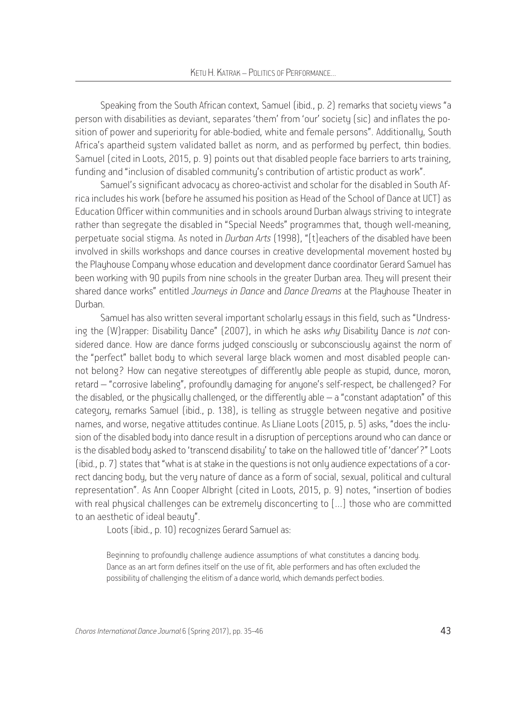Speaking from the South African context, Samuel (ibid., p. 2) remarks that society views "a person with disabilities as deviant, separates 'them' from 'our' society (sic) and inflates the position of power and superiority for able-bodied, white and female persons". Additionally, South Africa's apartheid system validated ballet as norm, and as performed by perfect, thin bodies. Samuel (cited in Loots, 2015, p. 9) points out that disabled people face barriers to arts training, funding and "inclusion of disabled community's contribution of artistic product as work".

Samuel's significant advocacy as choreo-activist and scholar for the disabled in South Africa includes his work (before he assumed his position as Head of the School of Dance at UCT) as Education Officer within communities and in schools around Durban alwaus striving to integrate rather than segregate the disabled in "Special Needs" programmes that, though well-meaning, perpetuate social stigma. As noted in *Durban Arts* (1998), "[t]eachers of the disabled have been involved in skills workshops and dance courses in creative developmental movement hosted by the Playhouse Company whose education and development dance coordinator Gerard Samuel has been working with 90 pupils from nine schools in the greater Durban area. They will present their shared dance works" entitled *Journeys in Dance* and *Dance Dreams* at the Playhouse Theater in Durban.

Samuel has also written several important scholarly essays in this field, such as "Undressing the (W)rapper: Disability Dance" (2007), in which he asks *why* Disability Dance is *not* considered dance. How are dance forms judged consciously or subconsciously against the norm of the "perfect" ballet body to which several large black women and most disabled people cannot belong? How can negative stereotypes of differently able people as stupid, dunce, moron, retard – "corrosive labeling", profoundly damaging for anyone's self-respect, be challenged? For the disabled, or the physically challenged, or the differently able – a "constant adaptation" of this category, remarks Samuel (ibid., p. 138), is telling as struggle between negative and positive names, and worse, negative attitudes continue. As Lliane Loots (2015, p. 5) asks, "does the inclusion of the disabled body into dance result in a disruption of perceptions around who can dance or is the disabled body asked to 'transcend disability' to take on the hallowed title of 'dancer'?" Loots (ibid., p. 7) states that "what is at stake in the questions is not only audience expectations of a correct dancing body, but the very nature of dance as a form of social, sexual, political and cultural representation". As Ann Cooper Albright (cited in Loots, 2015, p. 9) notes, "insertion of bodies with real physical challenges can be extremely disconcerting to […] those who are committed to an aesthetic of ideal beauty".

Loots (ibid., p. 10) recognizes Gerard Samuel as:

Beginning to profoundly challenge audience assumptions of what constitutes a dancing body. Dance as an art form defines itself on the use of fit, able performers and has often excluded the possibility of challenging the elitism of a dance world, which demands perfect bodies.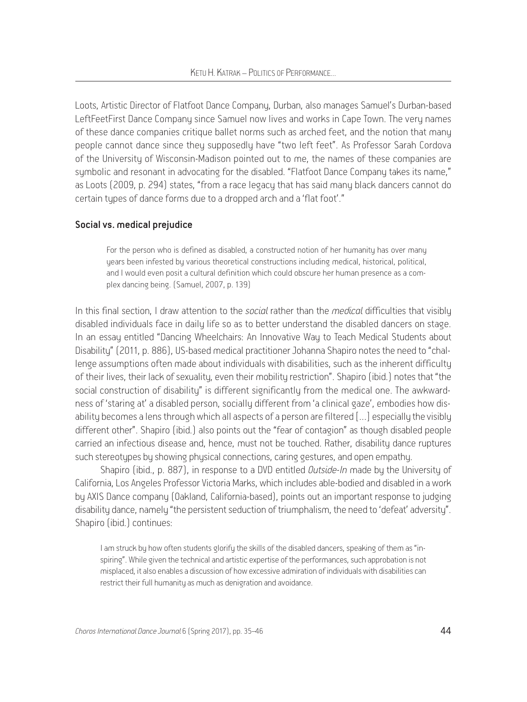Loots, Artistic Director of Flatfoot Dance Company, Durban, also manages Samuel's Durban-based LeftFeetFirst Dance Company since Samuel now lives and works in Cape Town. The very names of these dance companies critique ballet norms such as arched feet, and the notion that many people cannot dance since they supposedly have "two left feet". As Professor Sarah Cordova of the University of Wisconsin-Madison pointed out to me, the names of these companies are symbolic and resonant in advocating for the disabled. "Flatfoot Dance Company takes its name," as Loots (2009, p. 294) states, "from a race legacy that has said many black dancers cannot do certain tupes of dance forms due to a dropped arch and a 'flat foot'."

#### Social vs. medical prejudice

For the person who is defined as disabled, a constructed notion of her humanity has over many years been infested by various theoretical constructions including medical, historical, political, and I would even posit a cultural definition which could obscure her human presence as a complex dancing being. (Samuel, 2007, p. 139)

In this final section, I draw attention to the *social* rather than the *medical* difficulties that visibly disabled individuals face in daily life so as to better understand the disabled dancers on stage. In an essay entitled "Dancing Wheelchairs: An Innovative Way to Teach Medical Students about Disability" (2011, p. 886), US-based medical practitioner Johanna Shapiro notes the need to "challenge assumptions often made about individuals with disabilities, such as the inherent difficulty of their lives, their lack of sexuality, even their mobility restriction". Shapiro (ibid.) notes that "the social construction of disability" is different significantly from the medical one. The awkwardness of 'staring at' a disabled person, socially different from 'a clinical gaze', embodies how disability becomes a lens through which all aspects of a person are filtered […] especially the visibly different other". Shapiro (ibid.) also points out the "fear of contagion" as though disabled people carried an infectious disease and, hence, must not be touched. Rather, disability dance ruptures such stereotypes by showing physical connections, caring gestures, and open empathy.

Shapiro (ibid., p. 887), in response to a DVD entitled *Outside-In* made by the University of California, Los Angeles Professor Victoria Marks, which includes able-bodied and disabled in a work by AXIS Dance company (Oakland, California-based), points out an important response to judging disability dance, namely "the persistent seduction of triumphalism, the need to 'defeat' adversity". Shapiro (ibid.) continues:

I am struck by how often students glorify the skills of the disabled dancers, speaking of them as "inspiring". While given the technical and artistic expertise of the performances, such approbation is not misplaced, it also enables a discussion of how excessive admiration of individuals with disabilities can restrict their full humanity as much as denigration and avoidance.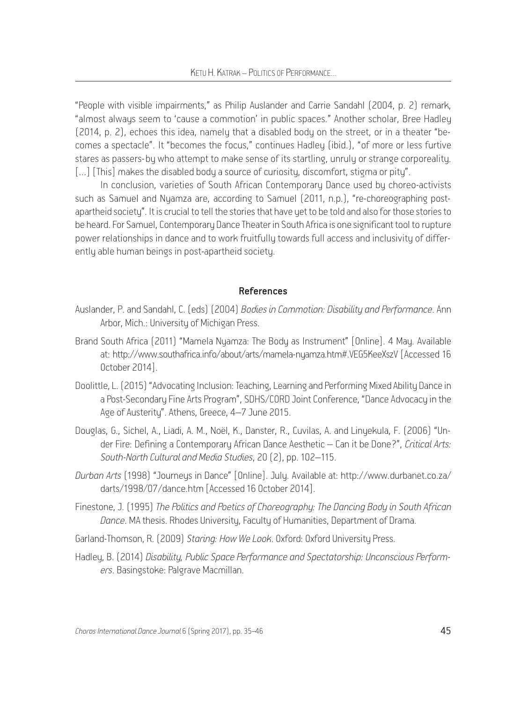"People with visible impairments," as Philip Auslander and Carrie Sandahl (2004, p. 2) remark, "almost always seem to 'cause a commotion' in public spaces." Another scholar, Bree Hadley (2014, p. 2), echoes this idea, namely that a disabled body on the street, or in a theater "becomes a spectacle". It "becomes the focus," continues Hadley (ibid.), "of more or less furtive stares as passers-by who attempt to make sense of its startling, unruly or strange corporeality. [...] [This] makes the disabled body a source of curiosity, discomfort, stigma or pity".

In conclusion, varieties of South African Contemporary Dance used by choreo-activists such as Samuel and Nyamza are, according to Samuel (2011, n.p.), "re-choreographing postapartheid society". It is crucial to tell the stories that have uet to be told and also for those stories to be heard. For Samuel, Contemporary Dance Theater in South Africa is one significant tool to rupture power relationships in dance and to work fruitfully towards full access and inclusivity of differently able human beings in post-apartheid society.

#### References

- Auslander, P. and Sandahl, C. (eds) (2004) *Bodies in Commotion: Disability and Performance*. Ann Arbor, Mich.: University of Michigan Press.
- Brand South Africa (2011) "Mamela Nyamza: The Body as Instrument" [Online]. 4 May. Available at: http://www.southafrica.info/about/arts/mamela-nyamza.htm#.VEG5KeeXszV [Accessed 16 October 2014].
- Doolittle, L. (2015) "Advocating Inclusion: Teaching, Learning and Performing Mixed Ability Dance in a Post-Secondary Fine Arts Program", SDHS/CORD Joint Conference, "Dance Advocacy in the Age of Austerity". Athens, Greece, 4–7 June 2015.
- Douglas, G., Sichel, A., Liadi, A. M., Noël, K., Danster, R., Cuvilas, A. and Linyekula, F. (2006) "Under Fire: Defining a Contemporary African Dance Aesthetic – Can it be Done?", *Critical Arts: South-North Cultural and Media Studies*, 20 (2), pp. 102–115.
- *Durban Arts* (1998) "Journeys in Dance" [Online]. July. Available at: http://www.durbanet.co.za/ darts/1998/07/dance.htm [Accessed 16 October 2014].
- Finestone, J. (1995) *The Politics and Poetics of Choreography: The Dancing Body in South African Dance*. MA thesis. Rhodes University, Faculty of Humanities, Department of Drama.
- Garland-Thomson, R. (2009) *Staring: How We Look*. Oxford: Oxford University Press.
- Hadley, B. (2014) *Disability, Public Space Performance and Spectatorship: Unconscious Performers*. Basingstoke: Palgrave Macmillan.